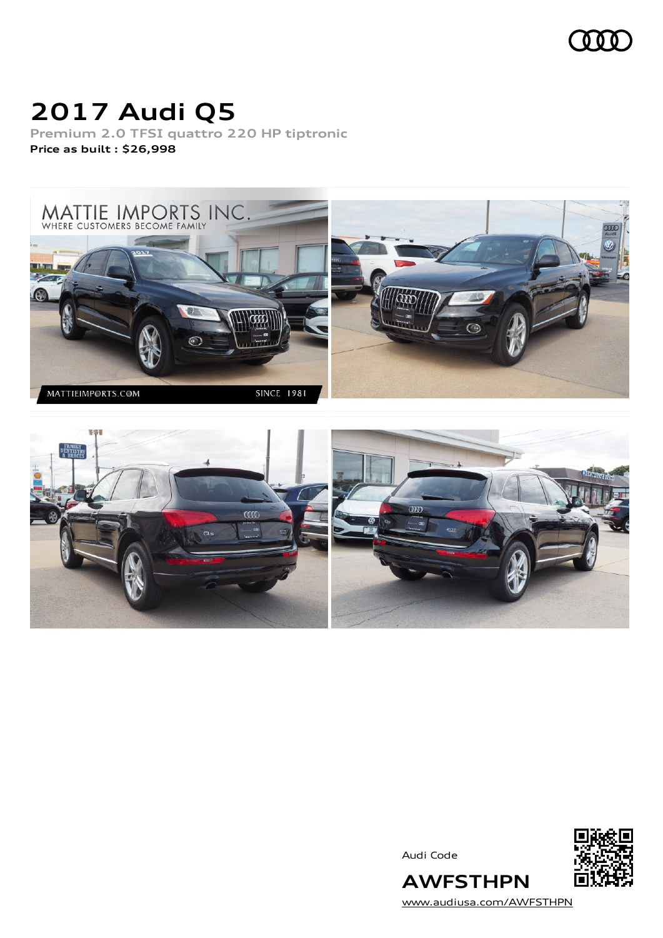

# **2017 Audi Q5**

**Premium 2.0 TFSI quattro 220 HP tiptronic Price as built [:](#page-10-0) \$26,998**





Audi Code



[www.audiusa.com/AWFSTHPN](https://www.audiusa.com/AWFSTHPN)

**AWFSTHPN**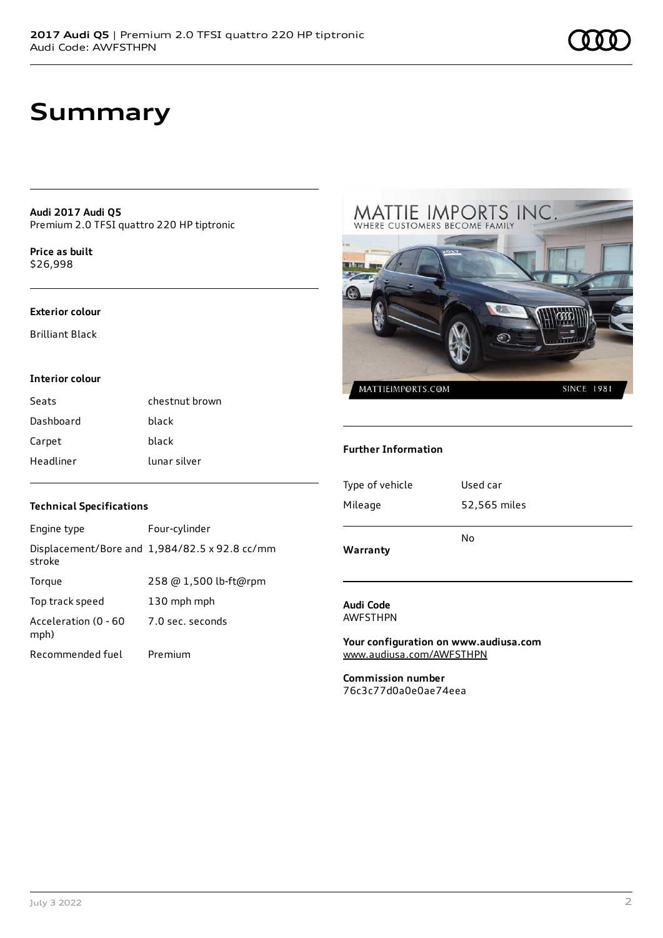### **Summary**

**Audi 2017 Audi Q5** Premium 2.0 TFSI quattro 220 HP tiptronic

**Price as buil[t](#page-10-0)** \$26,998

#### **Exterior colour**

Brilliant Black

#### **Interior colour**

| Seats     | chestnut brown |
|-----------|----------------|
| Dashboard | black          |
| Carpet    | black          |
| Headliner | lunar silver   |

#### **Technical Specifications**

| Engine type                  | Four-cylinder                                 |
|------------------------------|-----------------------------------------------|
| stroke                       | Displacement/Bore and 1,984/82.5 x 92.8 cc/mm |
| Torque                       | 258 @ 1,500 lb-ft@rpm                         |
| Top track speed              | 130 mph mph                                   |
| Acceleration (0 - 60<br>mph) | 7.0 sec. seconds                              |
| Recommended fuel             | Premium                                       |



#### **Further Information**

| Warranty        | No           |  |
|-----------------|--------------|--|
| Mileage         | 52,565 miles |  |
| Type of vehicle | Used car     |  |
|                 |              |  |

#### **Audi Code** AWFSTHPN

**Your configuration on www.audiusa.com** [www.audiusa.com/AWFSTHPN](https://www.audiusa.com/AWFSTHPN)

**Commission number** 76c3c77d0a0e0ae74eea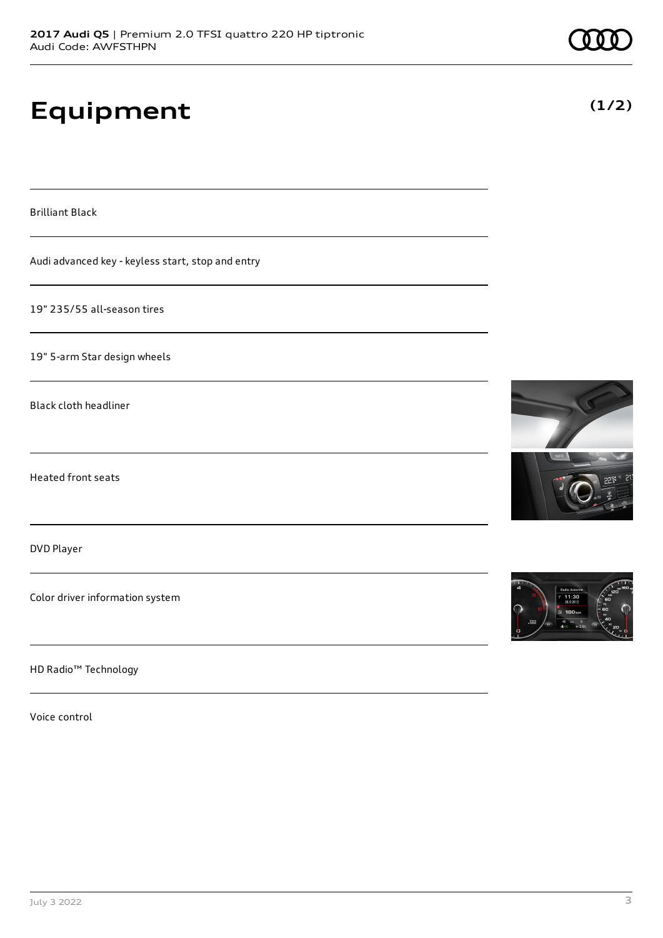# **Equipment**

Brilliant Black

Audi advanced key - keyless start, stop and entry

19" 235/55 all-season tires

19" 5-arm Star design wheels

Black cloth headliner

Heated front seats

DVD Player

Color driver information system

HD Radio™ Technology

Voice control







**(1/2)**

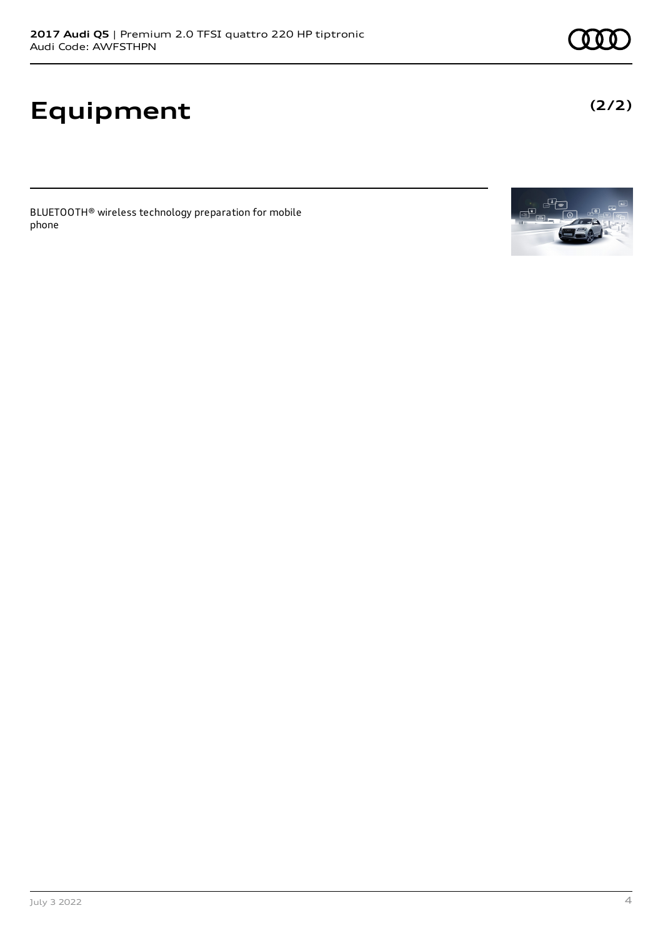# **Equipment**

BLUETOOTH® wireless technology preparation for mobile phone



**(2/2)**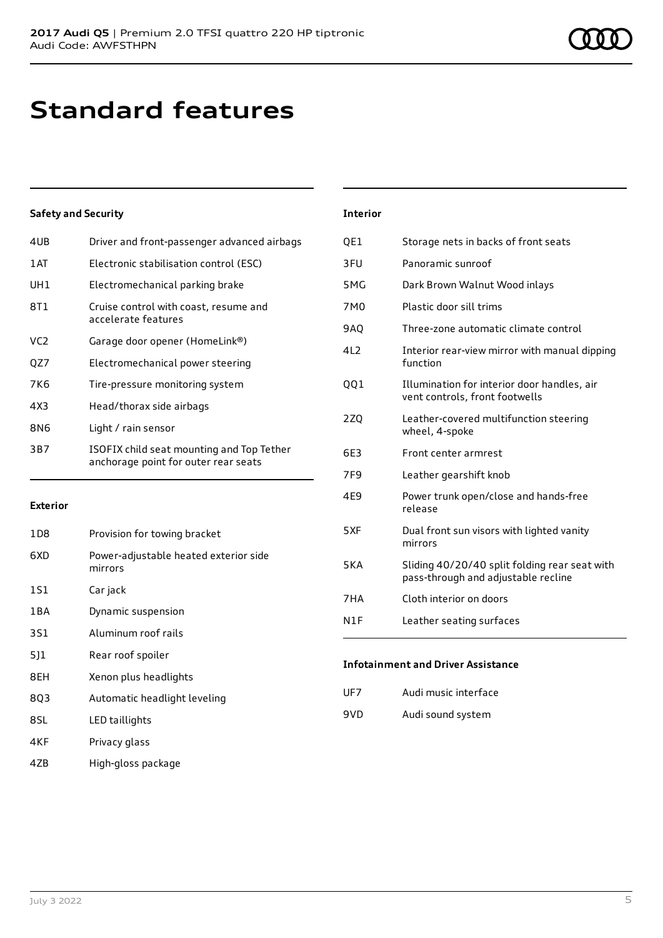### **Standard features**

#### **Safety and Security**

| 4UB             | Driver and front-passenger advanced airbags                                       |
|-----------------|-----------------------------------------------------------------------------------|
| 1 AT            | Electronic stabilisation control (ESC)                                            |
| UH1             | Electromechanical parking brake                                                   |
| 8T1             | Cruise control with coast, resume and<br>accelerate features                      |
| VC <sub>2</sub> | Garage door opener (HomeLink®)                                                    |
| QZ7             | Electromechanical power steering                                                  |
| 7K6             | Tire-pressure monitoring system                                                   |
| 4X3             | Head/thorax side airbags                                                          |
| 8N6             | Light / rain sensor                                                               |
| 3B7             | ISOFIX child seat mounting and Top Tether<br>anchorage point for outer rear seats |
|                 |                                                                                   |

#### **Exterior**

| Provision for towing bracket                     |
|--------------------------------------------------|
| Power-adjustable heated exterior side<br>mirrors |
| Car jack                                         |
| Dynamic suspension                               |
| Aluminum roof rails                              |
| Rear roof spoiler                                |
| Xenon plus headlights                            |
| Automatic headlight leveling                     |
| LED taillights                                   |
| Privacy glass                                    |
|                                                  |

4ZB High-gloss package

#### **Interior**

| QE1              | Storage nets in backs of front seats                                                 |
|------------------|--------------------------------------------------------------------------------------|
| 3FU              | Panoramic sunroof                                                                    |
| 5 <sub>M</sub> G | Dark Brown Walnut Wood inlays                                                        |
| 7M0              | Plastic door sill trims                                                              |
| <b>9AQ</b>       | Three-zone automatic climate control                                                 |
| 4L2              | Interior rear-view mirror with manual dipping<br>function                            |
| QQ1              | Illumination for interior door handles, air<br>vent controls, front footwells        |
| 2ZQ              | Leather-covered multifunction steering<br>wheel, 4-spoke                             |
| 6E3              | Front center armrest                                                                 |
| 7F <sub>9</sub>  | Leather gearshift knob                                                               |
| 4E9              | Power trunk open/close and hands-free<br>release                                     |
| 5XF              | Dual front sun visors with lighted vanity<br>mirrors                                 |
| 5KA              | Sliding 40/20/40 split folding rear seat with<br>pass-through and adjustable recline |
| 7HA              | Cloth interior on doors                                                              |
| N1F              | Leather seating surfaces                                                             |

#### **Infotainment and Driver Assistance**

| UF7 | Audi music interface |  |
|-----|----------------------|--|
|     |                      |  |

9VD Audi sound system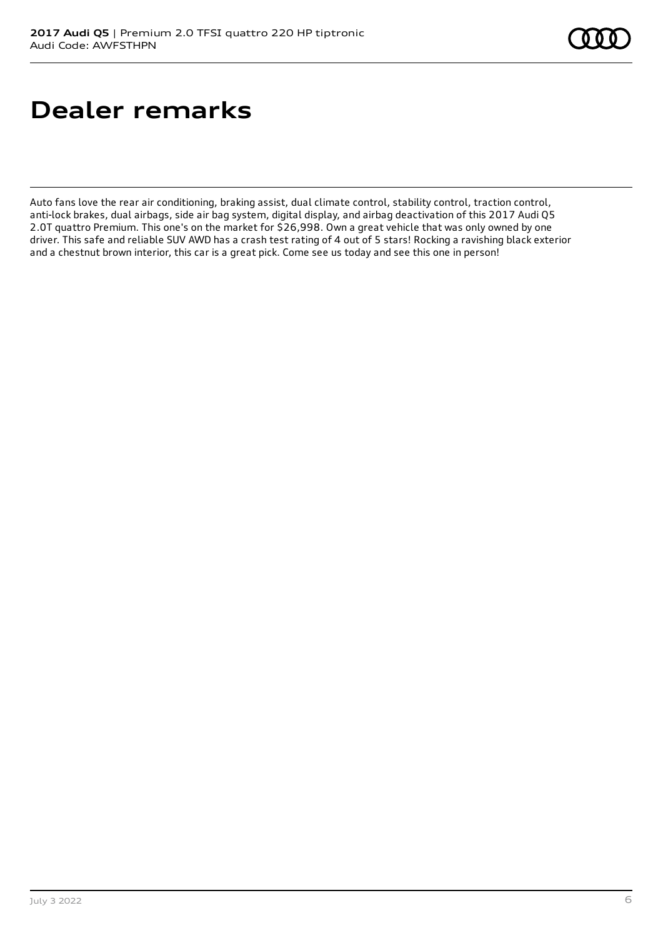## **Dealer remarks**

Auto fans love the rear air conditioning, braking assist, dual climate control, stability control, traction control, anti-lock brakes, dual airbags, side air bag system, digital display, and airbag deactivation of this 2017 Audi Q5 2.0T quattro Premium. This one's on the market for \$26,998. Own a great vehicle that was only owned by one driver. This safe and reliable SUV AWD has a crash test rating of 4 out of 5 stars! Rocking a ravishing black exterior and a chestnut brown interior, this car is a great pick. Come see us today and see this one in person!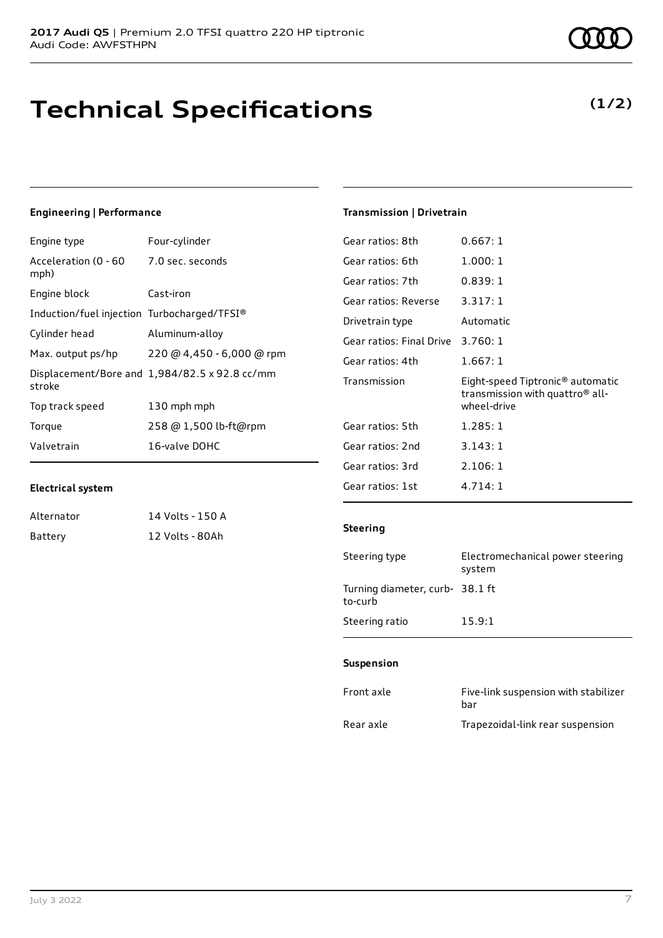### **Technical Specifications**

#### **Engineering | Performance**

| Four-cylinder                                 |
|-----------------------------------------------|
| 7.0 sec. seconds                              |
| Cast-iron                                     |
| Induction/fuel injection Turbocharged/TFSI®   |
| Aluminum-alloy                                |
| 220 @ 4,450 - 6,000 @ rpm                     |
| Displacement/Bore and 1,984/82.5 x 92.8 cc/mm |
| 130 mph mph                                   |
| 258 @ 1,500 lb-ft@rpm                         |
| 16-valve DOHC                                 |
|                                               |

#### **Electrical system**

| Alternator | 14 Volts - 150 A |
|------------|------------------|
| Battery    | 12 Volts - 80Ah  |

**(1/2)**

#### **Transmission | Drivetrain**

| Gear ratios: 8th         | 0.667:1                                                                                                    |
|--------------------------|------------------------------------------------------------------------------------------------------------|
| Gear ratios: 6th         | 1.000:1                                                                                                    |
| Gear ratios: 7th         | 0.839:1                                                                                                    |
| Gear ratios: Reverse     | 3.317:1                                                                                                    |
| Drivetrain type          | Automatic                                                                                                  |
| Gear ratios: Final Drive | 3.760:1                                                                                                    |
| Gear ratios: 4th         | 1.667: 1                                                                                                   |
| Transmission             | Eight-speed Tiptronic <sup>®</sup> automatic<br>transmission with quattro <sup>®</sup> all-<br>wheel-drive |
| Gear ratios: 5th         | 1.285:1                                                                                                    |
| Gear ratios: 2nd         | 3.143:1                                                                                                    |
| Gear ratios: 3rd         | 2.106:1                                                                                                    |
| Gear ratios: 1st         | 4.714:1                                                                                                    |

#### **Steering**

| Steering type                             | Electromechanical power steering<br>system |
|-------------------------------------------|--------------------------------------------|
| Turning diameter, curb-38.1 ft<br>to-curb |                                            |
| Steering ratio                            | 15.9:1                                     |

#### **Suspension**

| Front axle | Five-link suspension with stabilizer<br>bar |
|------------|---------------------------------------------|
| Rear axle  | Trapezoidal-link rear suspension            |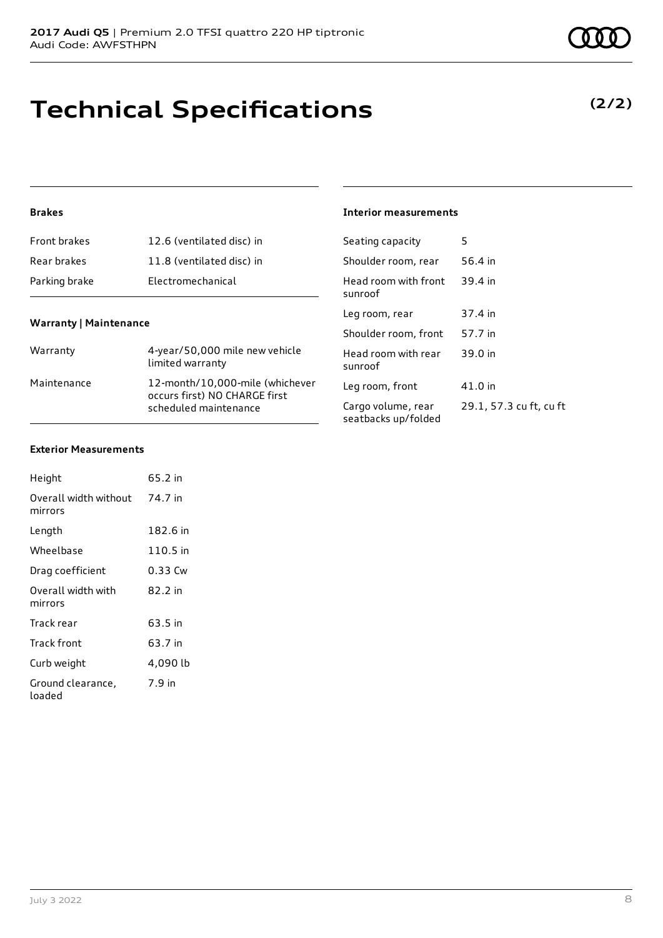# **Technical Specifications**

#### **Brakes**

| <b>Front brakes</b> | 12.6 (ventilated disc) in |
|---------------------|---------------------------|
| Rear brakes         | 11.8 (ventilated disc) in |
| Parking brake       | Electromechanical         |

#### **Warranty | Maintenance**

| Warranty    | 4-year/50,000 mile new vehicle<br>limited warranty                                        |
|-------------|-------------------------------------------------------------------------------------------|
| Maintenance | 12-month/10,000-mile (whichever<br>occurs first) NO CHARGE first<br>scheduled maintenance |

### **Interior measurements**

| Seating capacity                          | 5                       |
|-------------------------------------------|-------------------------|
| Shoulder room, rear                       | 56.4 in                 |
| Head room with front<br>sunroof           | 39.4 in                 |
| Leg room, rear                            | 37.4 in                 |
| Shoulder room, front                      | 57.7 in                 |
| Head room with rear<br>sunroof            | 39.0 in                 |
| Leg room, front                           | 41.0 in                 |
| Cargo volume, rear<br>seatbacks up/folded | 29.1, 57.3 cu ft, cu ft |

#### **Exterior Measurements**

| Height                           | 65.2 in  |
|----------------------------------|----------|
| Overall width without<br>mirrors | 74.7 in  |
| Length                           | 182.6 in |
| Wheelbase                        | 110.5 in |
| Drag coefficient                 | 0.33 Cw  |
| Overall width with<br>mirrors    | 82.2 in  |
| Track rear                       | 63.5 in  |
| Track front                      | 63.7 in  |
| Curb weight                      | 4,090 lb |
| Ground clearance,<br>loaded      | 7.9 in   |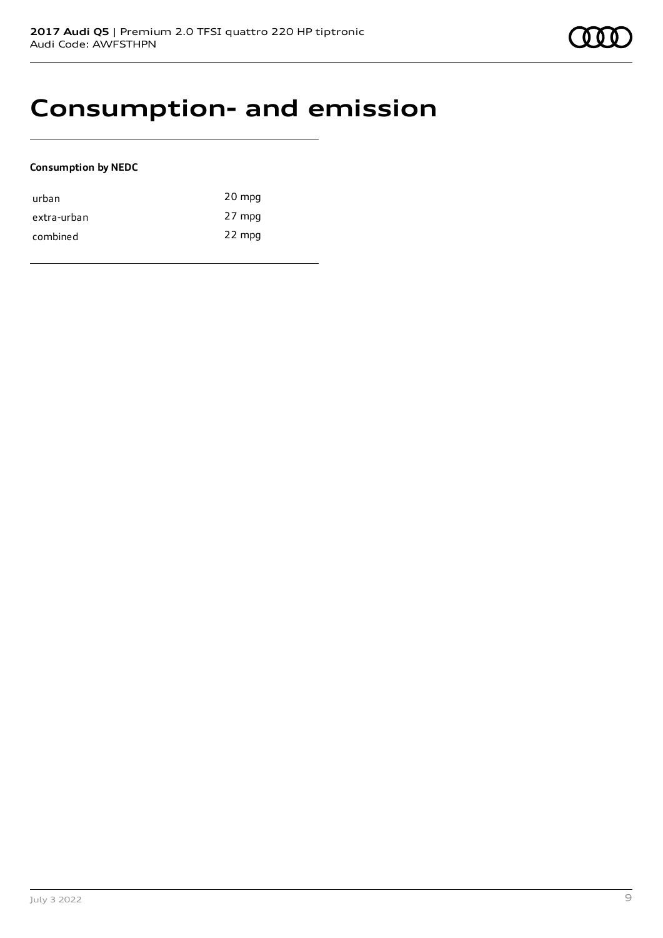### **Consumption- and emission**

#### **Consumption by NEDC**

| urban       | 20 mpg |
|-------------|--------|
| extra-urban | 27 mpg |
| combined    | 22 mpg |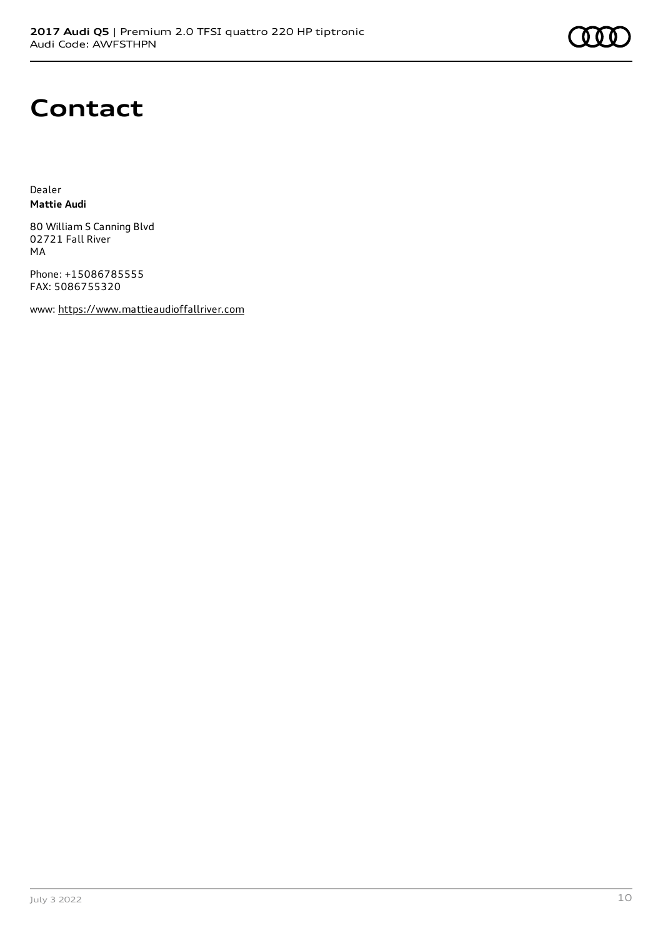

### **Contact**

Dealer **Mattie Audi**

80 William S Canning Blvd 02721 Fall River MA

Phone: +15086785555 FAX: 5086755320

www: [https://www.mattieaudioffallriver.com](https://www.mattieaudioffallriver.com/)